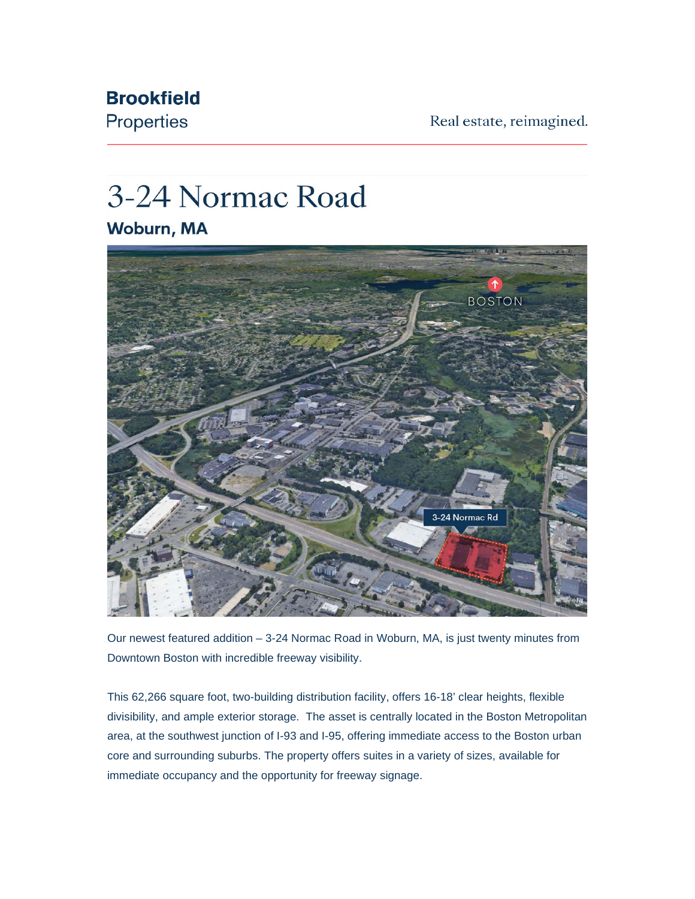Real estate, reimagined.

## **Brookfield** Properties

## 3-24 Normac Road

Woburn, MA



Our newest featured addition – 3-24 Normac Road in Woburn, MA, is just twenty minutes from Downtown Boston with incredible freeway visibility.

This 62,266 square foot, two-building distribution facility, offers 16-18' clear heights, flexible divisibility, and ample exterior storage. The asset is centrally located in the Boston Metropolitan area, at the southwest junction of I-93 and I-95, offering immediate access to the Boston urban core and surrounding suburbs. The property offers suites in a variety of sizes, available for immediate occupancy and the opportunity for freeway signage.